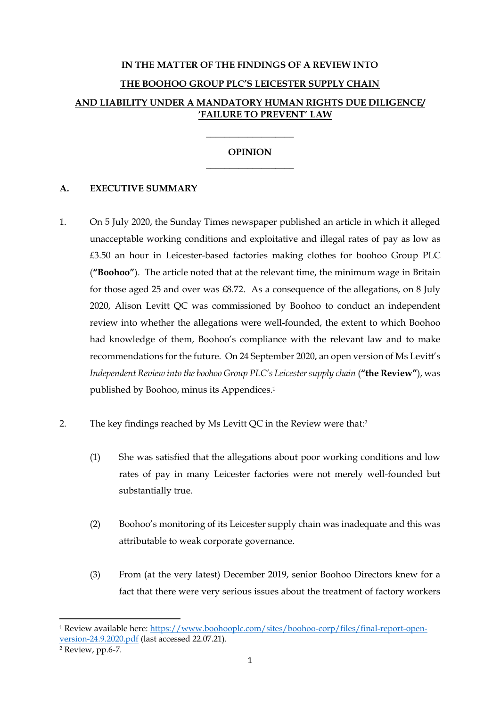# **IN THE MATTER OF THE FINDINGS OF A REVIEW INTO THE BOOHOO GROUP PLC'S LEICESTER SUPPLY CHAIN AND LIABILITY UNDER A MANDATORY HUMAN RIGHTS DUE DILIGENCE/ 'FAILURE TO PREVENT' LAW**

## **OPINION** \_\_\_\_\_\_\_\_\_\_\_\_\_\_\_\_\_\_\_

\_\_\_\_\_\_\_\_\_\_\_\_\_\_\_\_\_\_\_

### **A. EXECUTIVE SUMMARY**

- 1. On 5 July 2020, the Sunday Times newspaper published an article in which it alleged unacceptable working conditions and exploitative and illegal rates of pay as low as £3.50 an hour in Leicester-based factories making clothes for boohoo Group PLC (**"Boohoo"**). The article noted that at the relevant time, the minimum wage in Britain for those aged 25 and over was £8.72. As a consequence of the allegations, on 8 July 2020, Alison Levitt QC was commissioned by Boohoo to conduct an independent review into whether the allegations were well-founded, the extent to which Boohoo had knowledge of them, Boohoo's compliance with the relevant law and to make recommendations for the future. On 24 September 2020, an open version of Ms Levitt's *Independent Review into the boohoo Group PLC's Leicester supply chain* (**"the Review"**), was published by Boohoo, minus its Appendices. 1
- 2. The key findings reached by Ms Levitt QC in the Review were that:<sup>2</sup>
	- (1) She was satisfied that the allegations about poor working conditions and low rates of pay in many Leicester factories were not merely well-founded but substantially true.
	- (2) Boohoo's monitoring of its Leicester supply chain was inadequate and this was attributable to weak corporate governance.
	- (3) From (at the very latest) December 2019, senior Boohoo Directors knew for a fact that there were very serious issues about the treatment of factory workers

<sup>1</sup> Review available here: https://www.boohooplc.com/sites/boohoo-corp/files/final-report-openversion-24.9.2020.pdf (last accessed 22.07.21).

<sup>2</sup> Review, pp.6-7.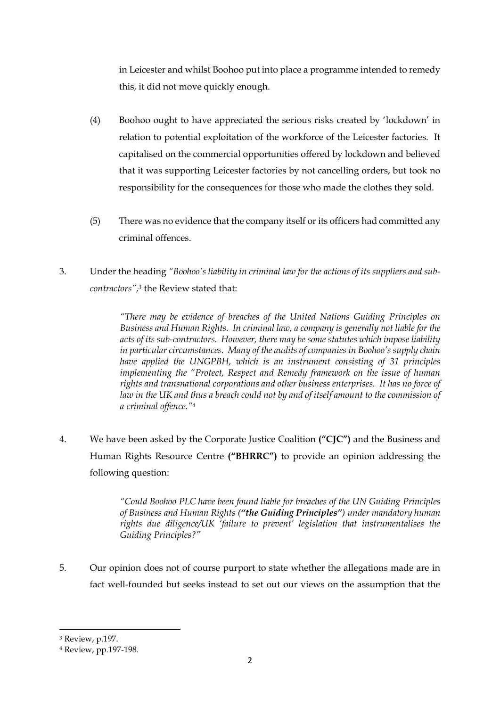in Leicester and whilst Boohoo put into place a programme intended to remedy this, it did not move quickly enough.

- (4) Boohoo ought to have appreciated the serious risks created by 'lockdown' in relation to potential exploitation of the workforce of the Leicester factories. It capitalised on the commercial opportunities offered by lockdown and believed that it was supporting Leicester factories by not cancelling orders, but took no responsibility for the consequences for those who made the clothes they sold.
- (5) There was no evidence that the company itself or its officers had committed any criminal offences.
- 3. Under the heading *"Boohoo's liability in criminal law for the actions of its suppliers and subcontractors", <sup>3</sup>* the Review stated that:

*"There may be evidence of breaches of the United Nations Guiding Principles on Business and Human Rights. In criminal law, a company is generally not liable for the acts of its sub-contractors. However, there may be some statutes which impose liability in particular circumstances. Many of the audits of companies in Boohoo's supply chain have applied the UNGPBH, which is an instrument consisting of 31 principles implementing the "Protect, Respect and Remedy framework on the issue of human rights and transnational corporations and other business enterprises. It has no force of*  law in the UK and thus a breach could not by and of itself amount to the commission of *a criminal offence."*<sup>4</sup>

4. We have been asked by the Corporate Justice Coalition **("CJC")** and the Business and Human Rights Resource Centre **("BHRRC")** to provide an opinion addressing the following question:

> *"Could Boohoo PLC have been found liable for breaches of the UN Guiding Principles of Business and Human Rights ("the Guiding Principles") under mandatory human rights due diligence/UK 'failure to prevent' legislation that instrumentalises the Guiding Principles?"*

5. Our opinion does not of course purport to state whether the allegations made are in fact well-founded but seeks instead to set out our views on the assumption that the

<sup>3</sup> Review, p.197.

<sup>4</sup> Review, pp.197-198.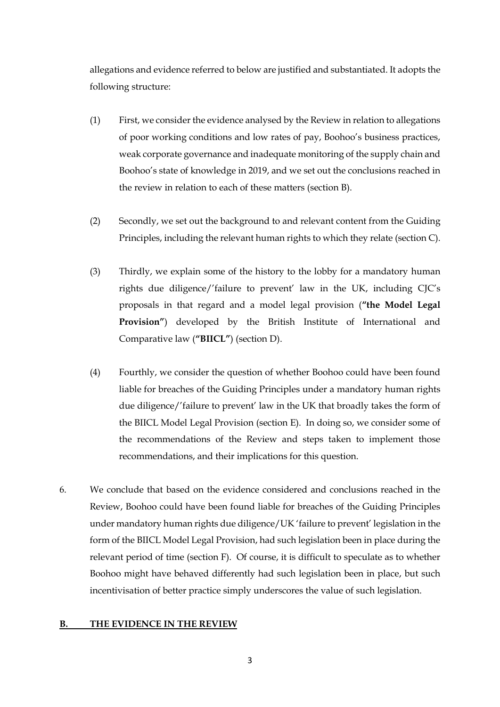allegations and evidence referred to below are justified and substantiated. It adopts the following structure:

- (1) First, we consider the evidence analysed by the Review in relation to allegations of poor working conditions and low rates of pay, Boohoo's business practices, weak corporate governance and inadequate monitoring of the supply chain and Boohoo's state of knowledge in 2019, and we set out the conclusions reached in the review in relation to each of these matters (section B).
- (2) Secondly, we set out the background to and relevant content from the Guiding Principles, including the relevant human rights to which they relate (section C).
- (3) Thirdly, we explain some of the history to the lobby for a mandatory human rights due diligence/'failure to prevent' law in the UK, including CJC's proposals in that regard and a model legal provision (**"the Model Legal Provision"**) developed by the British Institute of International and Comparative law (**"BIICL"**) (section D).
- (4) Fourthly, we consider the question of whether Boohoo could have been found liable for breaches of the Guiding Principles under a mandatory human rights due diligence/'failure to prevent' law in the UK that broadly takes the form of the BIICL Model Legal Provision (section E). In doing so, we consider some of the recommendations of the Review and steps taken to implement those recommendations, and their implications for this question.
- 6. We conclude that based on the evidence considered and conclusions reached in the Review, Boohoo could have been found liable for breaches of the Guiding Principles under mandatory human rights due diligence/UK 'failure to prevent' legislation in the form of the BIICL Model Legal Provision, had such legislation been in place during the relevant period of time (section F). Of course, it is difficult to speculate as to whether Boohoo might have behaved differently had such legislation been in place, but such incentivisation of better practice simply underscores the value of such legislation.

### **B. THE EVIDENCE IN THE REVIEW**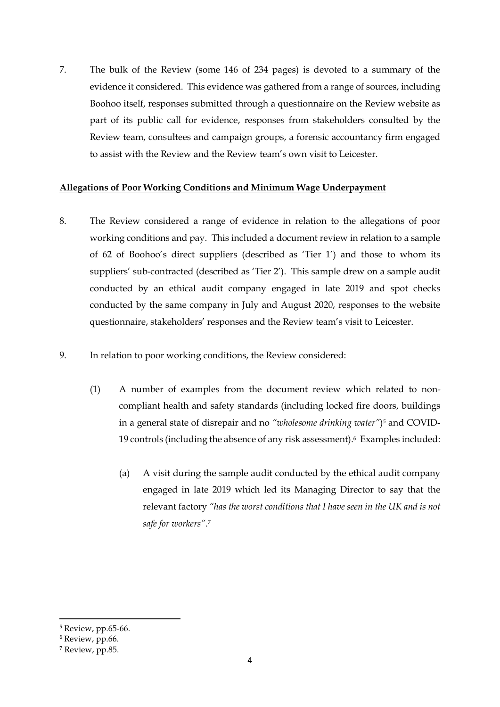7. The bulk of the Review (some 146 of 234 pages) is devoted to a summary of the evidence it considered. This evidence was gathered from a range of sources, including Boohoo itself, responses submitted through a questionnaire on the Review website as part of its public call for evidence, responses from stakeholders consulted by the Review team, consultees and campaign groups, a forensic accountancy firm engaged to assist with the Review and the Review team's own visit to Leicester.

### **Allegations of Poor Working Conditions and Minimum Wage Underpayment**

- 8. The Review considered a range of evidence in relation to the allegations of poor working conditions and pay. This included a document review in relation to a sample of 62 of Boohoo's direct suppliers (described as 'Tier 1') and those to whom its suppliers' sub-contracted (described as 'Tier 2'). This sample drew on a sample audit conducted by an ethical audit company engaged in late 2019 and spot checks conducted by the same company in July and August 2020, responses to the website questionnaire, stakeholders' responses and the Review team's visit to Leicester.
- 9. In relation to poor working conditions, the Review considered:
	- (1) A number of examples from the document review which related to noncompliant health and safety standards (including locked fire doors, buildings in a general state of disrepair and no *"wholesome drinking water"*) *<sup>5</sup>* and COVID-19 controls (including the absence of any risk assessment). <sup>6</sup> Examples included:
		- (a) A visit during the sample audit conducted by the ethical audit company engaged in late 2019 which led its Managing Director to say that the relevant factory *"has the worst conditions that I have seen in the UK and is not safe for workers"*. 7

<sup>5</sup> Review, pp.65-66.

<sup>6</sup> Review, pp.66.

<sup>7</sup> Review, pp.85.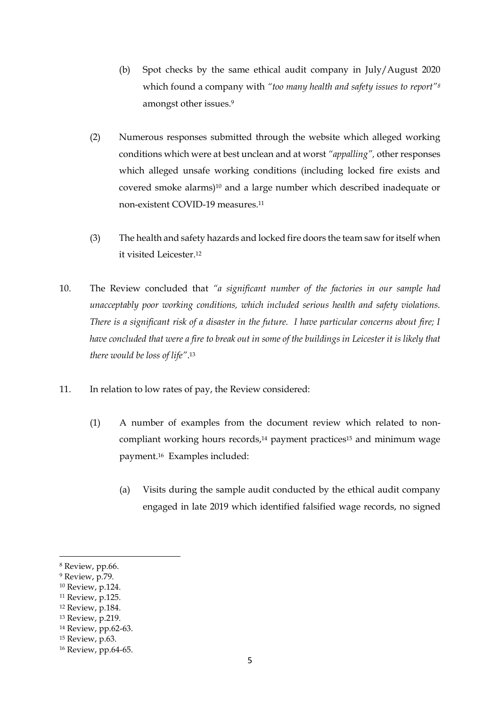- (b) Spot checks by the same ethical audit company in July/August 2020 which found a company with *"too many health and safety issues to report"<sup>8</sup>* amongst other issues.<sup>9</sup>
- (2) Numerous responses submitted through the website which alleged working conditions which were at best unclean and at worst *"appalling",* other responses which alleged unsafe working conditions (including locked fire exists and covered smoke alarms)<sup>10</sup> and a large number which described inadequate or non-existent COVID-19 measures. 11
- (3) The health and safety hazards and locked fire doors the team saw for itself when it visited Leicester. 12
- 10. The Review concluded that *"a significant number of the factories in our sample had unacceptably poor working conditions, which included serious health and safety violations. There is a significant risk of a disaster in the future. I have particular concerns about fire; I have concluded that were a fire to break out in some of the buildings in Leicester it is likely that there would be loss of life"*. 13
- 11. In relation to low rates of pay, the Review considered:
	- (1) A number of examples from the document review which related to noncompliant working hours records, <sup>14</sup> payment practices<sup>15</sup> and minimum wage payment.16 Examples included:
		- (a) Visits during the sample audit conducted by the ethical audit company engaged in late 2019 which identified falsified wage records, no signed

<sup>8</sup> Review, pp.66.

<sup>9</sup> Review, p.79.

<sup>10</sup> Review, p.124.

<sup>11</sup> Review, p.125.

<sup>12</sup> Review, p.184.

<sup>13</sup> Review, p.219.

<sup>14</sup> Review, pp.62-63.

<sup>15</sup> Review, p.63.

<sup>16</sup> Review, pp.64-65.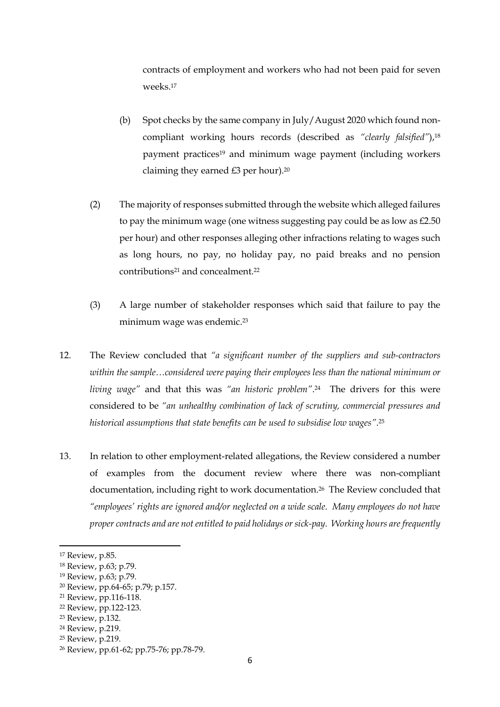contracts of employment and workers who had not been paid for seven weeks.<sup>17</sup>

- (b) Spot checks by the same company in July/August 2020 which found noncompliant working hours records (described as *"clearly falsified"*), 18 payment practices<sup>19</sup> and minimum wage payment (including workers claiming they earned £3 per hour). 20
- (2) The majority of responses submitted through the website which alleged failures to pay the minimum wage (one witness suggesting pay could be as low as  $E2.50$ ) per hour) and other responses alleging other infractions relating to wages such as long hours, no pay, no holiday pay, no paid breaks and no pension contributions<sup>21</sup> and concealment.<sup>22</sup>
- (3) A large number of stakeholder responses which said that failure to pay the minimum wage was endemic.<sup>23</sup>
- 12. The Review concluded that *"a significant number of the suppliers and sub-contractors within the sample…considered were paying their employees less than the national minimum or living wage"* and that this was *"an historic problem"*. <sup>24</sup> The drivers for this were considered to be *"an unhealthy combination of lack of scrutiny, commercial pressures and historical assumptions that state benefits can be used to subsidise low wages"*. 25
- 13. In relation to other employment-related allegations, the Review considered a number of examples from the document review where there was non-compliant documentation, including right to work documentation.<sup>26</sup> The Review concluded that *"employees' rights are ignored and/or neglected on a wide scale. Many employees do not have proper contracts and are not entitled to paid holidays or sick-pay. Working hours are frequently*

<sup>24</sup> Review, p.219.

<sup>17</sup> Review, p.85.

<sup>18</sup> Review, p.63; p.79.

<sup>19</sup> Review, p.63; p.79.

<sup>20</sup> Review, pp.64-65; p.79; p.157.

<sup>21</sup> Review, pp.116-118.

<sup>22</sup> Review, pp.122-123.

<sup>23</sup> Review, p.132.

<sup>25</sup> Review, p.219.

<sup>26</sup> Review, pp.61-62; pp.75-76; pp.78-79.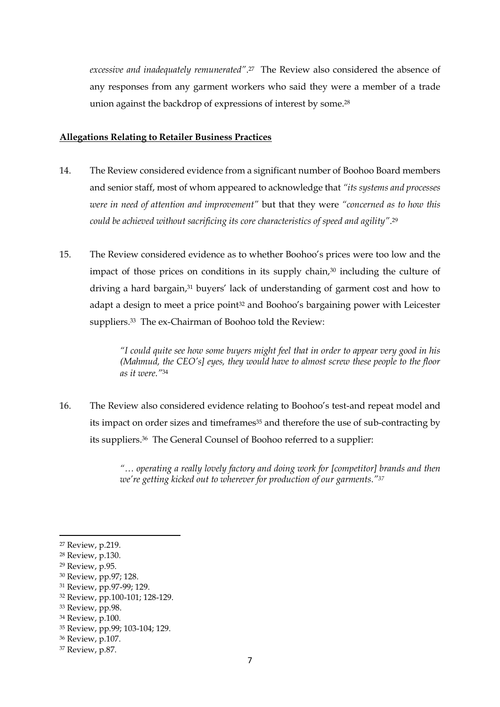*excessive and inadequately remunerated"*. <sup>27</sup> The Review also considered the absence of any responses from any garment workers who said they were a member of a trade union against the backdrop of expressions of interest by some.<sup>28</sup>

#### **Allegations Relating to Retailer Business Practices**

- 14. The Review considered evidence from a significant number of Boohoo Board members and senior staff, most of whom appeared to acknowledge that *"its systems and processes were in need of attention and improvement"* but that they were *"concerned as to how this could be achieved without sacrificing its core characteristics of speed and agility"*. 29
- 15. The Review considered evidence as to whether Boohoo's prices were too low and the impact of those prices on conditions in its supply chain,<sup>30</sup> including the culture of driving a hard bargain, <sup>31</sup> buyers' lack of understanding of garment cost and how to adapt a design to meet a price point<sup>32</sup> and Boohoo's bargaining power with Leicester suppliers.33 The ex-Chairman of Boohoo told the Review:

*"I could quite see how some buyers might feel that in order to appear very good in his (Mahmud, the CEO's] eyes, they would have to almost screw these people to the floor as it were."*<sup>34</sup>

16. The Review also considered evidence relating to Boohoo's test-and repeat model and its impact on order sizes and timeframes<sup>35</sup> and therefore the use of sub-contracting by its suppliers. <sup>36</sup> The General Counsel of Boohoo referred to a supplier:

> *"… operating a really lovely factory and doing work for [competitor] brands and then we're getting kicked out to wherever for production of our garments."<sup>37</sup>*

<sup>27</sup> Review, p.219.

<sup>28</sup> Review, p.130.

<sup>29</sup> Review, p.95.

<sup>30</sup> Review, pp.97; 128.

<sup>31</sup> Review, pp.97-99; 129.

<sup>32</sup> Review, pp.100-101; 128-129.

<sup>33</sup> Review, pp.98.

<sup>34</sup> Review, p.100.

<sup>35</sup> Review, pp.99; 103-104; 129.

<sup>36</sup> Review, p.107.

<sup>37</sup> Review, p.87.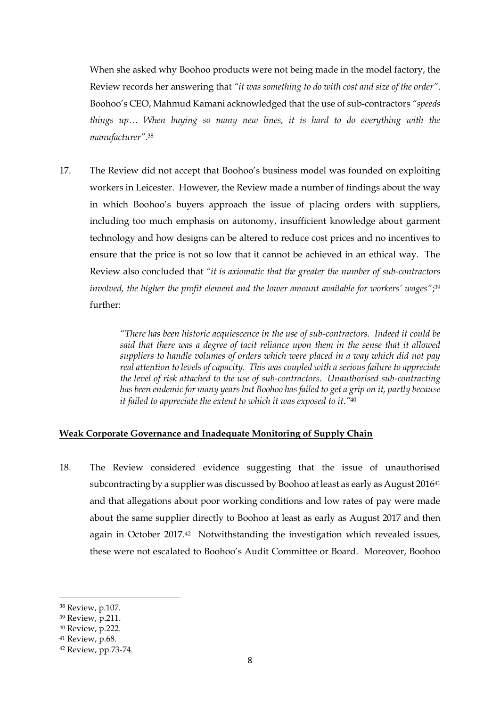When she asked why Boohoo products were not being made in the model factory, the Review records her answering that *"it was something to do with cost and size of the order"*. Boohoo's CEO, Mahmud Kamani acknowledged that the use of sub-contractors *"speeds things up… When buying so many new lines, it is hard to do everything with the manufacturer"*. 38

17. The Review did not accept that Boohoo's business model was founded on exploiting workers in Leicester. However, the Review made a number of findings about the way in which Boohoo's buyers approach the issue of placing orders with suppliers, including too much emphasis on autonomy, insufficient knowledge about garment technology and how designs can be altered to reduce cost prices and no incentives to ensure that the price is not so low that it cannot be achieved in an ethical way. The Review also concluded that *"it is axiomatic that the greater the number of sub-contractors involved, the higher the profit element and the lower amount available for workers' wages"*; 39 further:

> *"There has been historic acquiescence in the use of sub-contractors. Indeed it could be said that there was a degree of tacit reliance upon them in the sense that it allowed suppliers to handle volumes of orders which were placed in a way which did not pay real attention to levels of capacity. This was coupled with a serious failure to appreciate the level of risk attached to the use of sub-contractors. Unauthorised sub-contracting has been endemic for many years but Boohoo has failed to get a grip on it, partly because it failed to appreciate the extent to which it was exposed to it."*<sup>40</sup>

### **Weak Corporate Governance and Inadequate Monitoring of Supply Chain**

18. The Review considered evidence suggesting that the issue of unauthorised subcontracting by a supplier was discussed by Boohoo at least as early as August 2016<sup>41</sup> and that allegations about poor working conditions and low rates of pay were made about the same supplier directly to Boohoo at least as early as August 2017 and then again in October 2017.42 Notwithstanding the investigation which revealed issues, these were not escalated to Boohoo's Audit Committee or Board. Moreover, Boohoo

<sup>38</sup> Review, p.107.

<sup>39</sup> Review, p.211.

<sup>40</sup> Review, p.222.

<sup>41</sup> Review, p.68.

<sup>42</sup> Review, pp.73-74.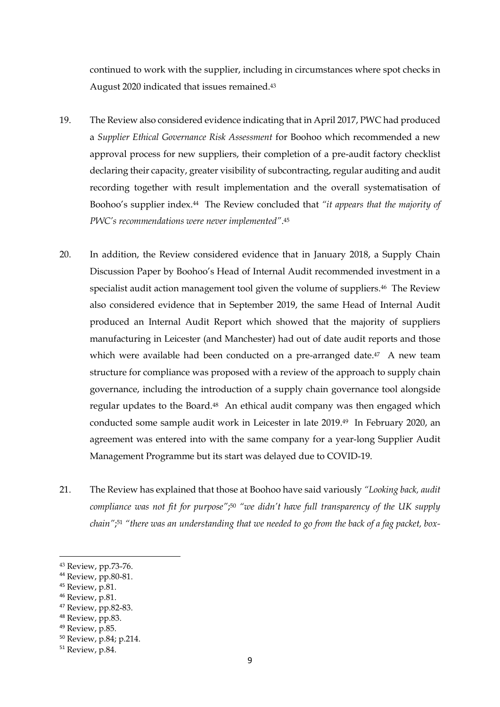continued to work with the supplier, including in circumstances where spot checks in August 2020 indicated that issues remained. 43

- 19. The Review also considered evidence indicating that in April 2017, PWC had produced a *Supplier Ethical Governance Risk Assessment* for Boohoo which recommended a new approval process for new suppliers, their completion of a pre-audit factory checklist declaring their capacity, greater visibility of subcontracting, regular auditing and audit recording together with result implementation and the overall systematisation of Boohoo's supplier index.44 The Review concluded that *"it appears that the majority of PWC's recommendations were never implemented"*. 45
- 20. In addition, the Review considered evidence that in January 2018, a Supply Chain Discussion Paper by Boohoo's Head of Internal Audit recommended investment in a specialist audit action management tool given the volume of suppliers.<sup>46</sup> The Review also considered evidence that in September 2019, the same Head of Internal Audit produced an Internal Audit Report which showed that the majority of suppliers manufacturing in Leicester (and Manchester) had out of date audit reports and those which were available had been conducted on a pre-arranged date.<sup>47</sup> A new team structure for compliance was proposed with a review of the approach to supply chain governance, including the introduction of a supply chain governance tool alongside regular updates to the Board.48 An ethical audit company was then engaged which conducted some sample audit work in Leicester in late 2019. <sup>49</sup> In February 2020, an agreement was entered into with the same company for a year-long Supplier Audit Management Programme but its start was delayed due to COVID-19.
- 21. The Review has explained that those at Boohoo have said variously *"Looking back, audit compliance was not fit for purpose"*; <sup>50</sup> *"we didn't have full transparency of the UK supply chain"*; <sup>51</sup> *"there was an understanding that we needed to go from the back of a fag packet, box-*

- <sup>45</sup> Review, p.81.
- <sup>46</sup> Review, p.81.

<sup>49</sup> Review, p.85.

<sup>43</sup> Review, pp.73-76.

<sup>44</sup> Review, pp.80-81.

<sup>47</sup> Review, pp.82-83.

<sup>48</sup> Review, pp.83.

<sup>50</sup> Review, p.84; p.214.

<sup>51</sup> Review, p.84.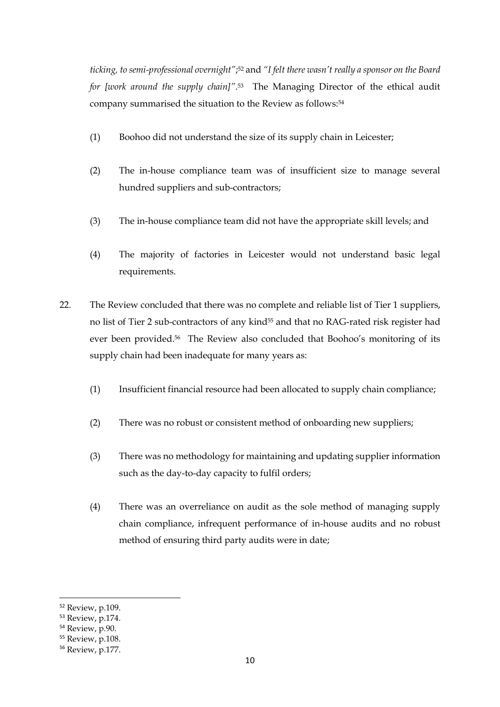*ticking, to semi-professional overnight"*; <sup>52</sup> and *"I felt there wasn't really a sponsor on the Board for [work around the supply chain]"*. <sup>53</sup> The Managing Director of the ethical audit company summarised the situation to the Review as follows:<sup>54</sup>

- (1) Boohoo did not understand the size of its supply chain in Leicester;
- (2) The in-house compliance team was of insufficient size to manage several hundred suppliers and sub-contractors;
- (3) The in-house compliance team did not have the appropriate skill levels; and
- (4) The majority of factories in Leicester would not understand basic legal requirements.
- 22. The Review concluded that there was no complete and reliable list of Tier 1 suppliers, no list of Tier 2 sub-contractors of any kind<sup>55</sup> and that no RAG-rated risk register had ever been provided.<sup>56</sup> The Review also concluded that Boohoo's monitoring of its supply chain had been inadequate for many years as:
	- (1) Insufficient financial resource had been allocated to supply chain compliance;
	- (2) There was no robust or consistent method of onboarding new suppliers;
	- (3) There was no methodology for maintaining and updating supplier information such as the day-to-day capacity to fulfil orders;
	- (4) There was an overreliance on audit as the sole method of managing supply chain compliance, infrequent performance of in-house audits and no robust method of ensuring third party audits were in date;

<sup>52</sup> Review, p.109.

<sup>53</sup> Review, p.174.

<sup>54</sup> Review, p.90.

<sup>55</sup> Review, p.108.

<sup>56</sup> Review, p.177.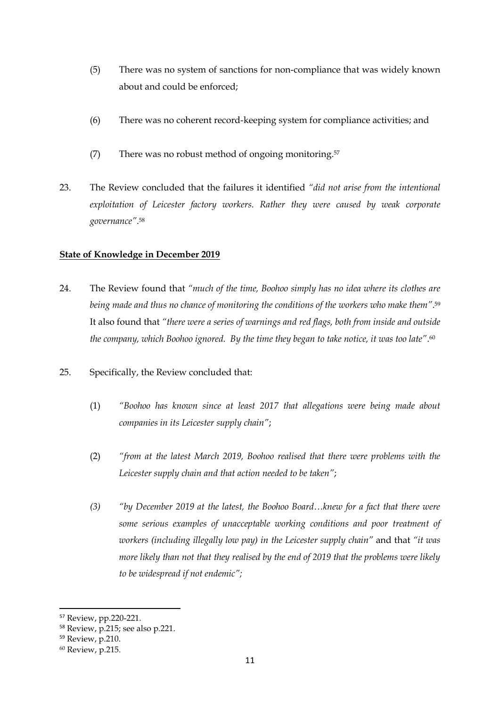- (5) There was no system of sanctions for non-compliance that was widely known about and could be enforced;
- (6) There was no coherent record-keeping system for compliance activities; and
- (7) There was no robust method of ongoing monitoring.<sup>57</sup>
- 23. The Review concluded that the failures it identified *"did not arise from the intentional exploitation of Leicester factory workers. Rather they were caused by weak corporate governance"*. 58

### **State of Knowledge in December 2019**

- 24. The Review found that *"much of the time, Boohoo simply has no idea where its clothes are being made and thus no chance of monitoring the conditions of the workers who make them"*. 59 It also found that *"there were a series of warnings and red flags, both from inside and outside the company, which Boohoo ignored. By the time they began to take notice, it was too late"*. 60
- 25. Specifically, the Review concluded that:
	- (1) *"Boohoo has known since at least 2017 that allegations were being made about companies in its Leicester supply chain"*;
	- (2) *"from at the latest March 2019, Boohoo realised that there were problems with the Leicester supply chain and that action needed to be taken"*;
	- *(3) "by December 2019 at the latest, the Boohoo Board…knew for a fact that there were some serious examples of unacceptable working conditions and poor treatment of workers (including illegally low pay) in the Leicester supply chain"* and that *"it was more likely than not that they realised by the end of 2019 that the problems were likely to be widespread if not endemic";*

<sup>57</sup> Review, pp.220-221.

<sup>58</sup> Review, p.215; see also p.221.

<sup>59</sup> Review, p.210.

<sup>60</sup> Review, p.215.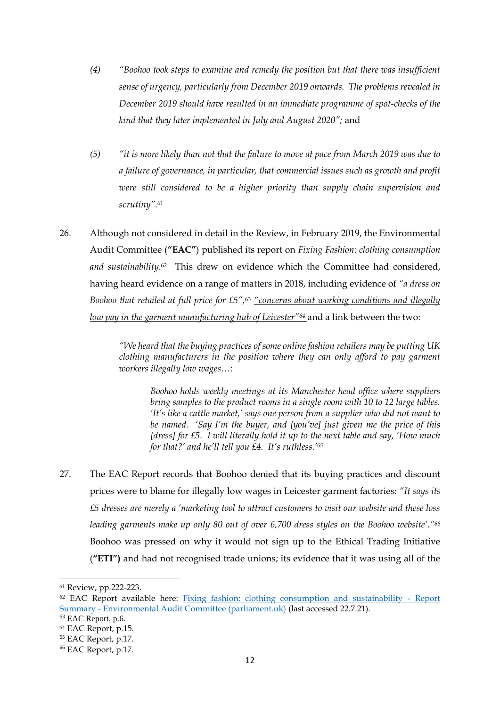- *(4) "Boohoo took steps to examine and remedy the position but that there was insufficient sense of urgency, particularly from December 2019 onwards. The problems revealed in December 2019 should have resulted in an immediate programme of spot-checks of the kind that they later implemented in July and August 2020";* and
- *(5) "it is more likely than not that the failure to move at pace from March 2019 was due to a failure of governance, in particular, that commercial issues such as growth and profit were still considered to be a higher priority than supply chain supervision and scrutiny".*<sup>61</sup>
- 26. Although not considered in detail in the Review, in February 2019, the Environmental Audit Committee (**"EAC"**) published its report on *Fixing Fashion: clothing consumption*  and sustainability.<sup>62</sup> This drew on evidence which the Committee had considered, having heard evidence on a range of matters in 2018, including evidence of *"a dress on Boohoo that retailed at full price for £5",*<sup>63</sup> *"concerns about working conditions and illegally low pay in the garment manufacturing hub of Leicester"<sup>64</sup>* and a link between the two:

*"We heard that the buying practices of some online fashion retailers may be putting UK clothing manufacturers in the position where they can only afford to pay garment workers illegally low wages…*:

*Boohoo holds weekly meetings at its Manchester head office where suppliers bring samples to the product rooms in a single room with 10 to 12 large tables. 'It's like a cattle market,' says one person from a supplier who did not want to be named. 'Say I'm the buyer, and [you've] just given me the price of this [dress] for £5. I will literally hold it up to the next table and say, 'How much for that?' and he'll tell you £4. It's ruthless.'<sup>65</sup>*

27. The EAC Report records that Boohoo denied that its buying practices and discount prices were to blame for illegally low wages in Leicester garment factories: *"It says its £5 dresses are merely a 'marketing tool to attract customers to visit our website and these loss leading garments make up only 80 out of over 6,700 dress styles on the Boohoo website'."<sup>66</sup>*  Boohoo was pressed on why it would not sign up to the Ethical Trading Initiative (**"ETI")** and had not recognised trade unions; its evidence that it was using all of the

<sup>61</sup> Review, pp.222-223.

<sup>62</sup> EAC Report available here: [Fixing fashion: clothing consumption and sustainability -](https://publications.parliament.uk/pa/cm201719/cmselect/cmenvaud/1952/report-summary.html) Report Summary - [Environmental Audit Committee \(parliament.uk\)](https://publications.parliament.uk/pa/cm201719/cmselect/cmenvaud/1952/report-summary.html) (last accessed 22.7.21).

<sup>63</sup> EAC Report, p.6.

<sup>64</sup> EAC Report, p.15.

<sup>65</sup> EAC Report, p.17.

<sup>66</sup> EAC Report, p.17.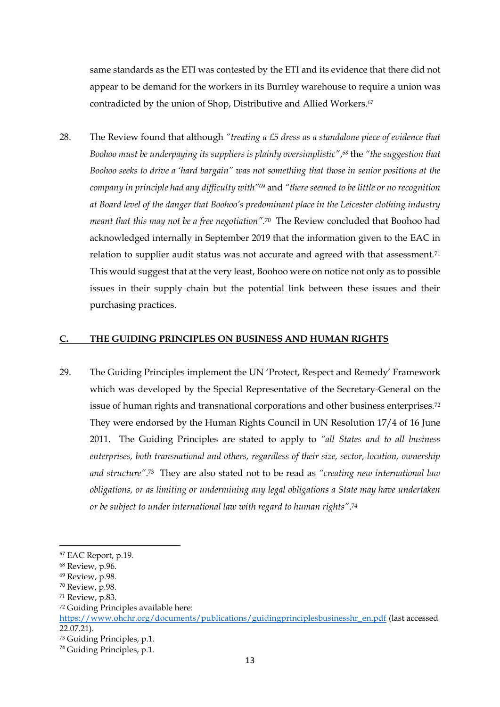same standards as the ETI was contested by the ETI and its evidence that there did not appear to be demand for the workers in its Burnley warehouse to require a union was contradicted by the union of Shop, Distributive and Allied Workers. 67

28. The Review found that although *"treating a £5 dress as a standalone piece of evidence that Boohoo must be underpaying its suppliers is plainly oversimplistic"*, *<sup>68</sup>* the *"the suggestion that Boohoo seeks to drive a 'hard bargain" was not something that those in senior positions at the company in principle had any difficulty with"*<sup>69</sup> and *"there seemed to be little or no recognition at Board level of the danger that Boohoo's predominant place in the Leicester clothing industry meant that this may not be a free negotiation".*<sup>70</sup>The Review concluded that Boohoo had acknowledged internally in September 2019 that the information given to the EAC in relation to supplier audit status was not accurate and agreed with that assessment.<sup>71</sup> This would suggest that at the very least, Boohoo were on notice not only as to possible issues in their supply chain but the potential link between these issues and their purchasing practices.

#### **C. THE GUIDING PRINCIPLES ON BUSINESS AND HUMAN RIGHTS**

29. The Guiding Principles implement the UN 'Protect, Respect and Remedy' Framework which was developed by the Special Representative of the Secretary-General on the issue of human rights and transnational corporations and other business enterprises.<sup>72</sup> They were endorsed by the Human Rights Council in UN Resolution 17/4 of 16 June 2011. The Guiding Principles are stated to apply to *"all States and to all business enterprises, both transnational and others, regardless of their size, sector, location, ownership and structure"*. <sup>73</sup> They are also stated not to be read as *"creating new international law obligations, or as limiting or undermining any legal obligations a State may have undertaken or be subject to under international law with regard to human rights"*. 74

<sup>67</sup> EAC Report, p.19.

<sup>68</sup> Review, p.96.

<sup>69</sup> Review, p.98.

<sup>70</sup> Review, p.98.

<sup>71</sup> Review, p.83.

<sup>72</sup> Guiding Principles available here:

https://www.ohchr.org/documents/publications/guidingprinciplesbusinesshr\_en.pdf (last accessed 22.07.21).

<sup>73</sup> Guiding Principles, p.1.

<sup>74</sup> Guiding Principles, p.1.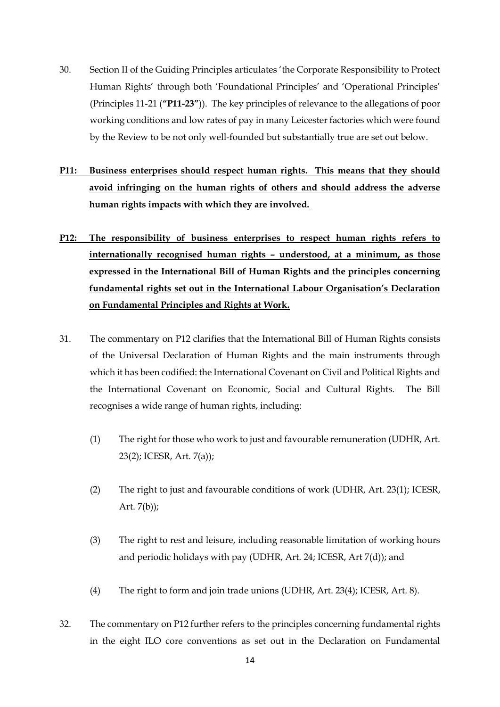- 30. Section II of the Guiding Principles articulates 'the Corporate Responsibility to Protect Human Rights' through both 'Foundational Principles' and 'Operational Principles' (Principles 11-21 (**"P11-23"**)). The key principles of relevance to the allegations of poor working conditions and low rates of pay in many Leicester factories which were found by the Review to be not only well-founded but substantially true are set out below.
- **P11: Business enterprises should respect human rights. This means that they should avoid infringing on the human rights of others and should address the adverse human rights impacts with which they are involved.**
- **P12: The responsibility of business enterprises to respect human rights refers to internationally recognised human rights – understood, at a minimum, as those expressed in the International Bill of Human Rights and the principles concerning fundamental rights set out in the International Labour Organisation's Declaration on Fundamental Principles and Rights at Work.**
- 31. The commentary on P12 clarifies that the International Bill of Human Rights consists of the Universal Declaration of Human Rights and the main instruments through which it has been codified: the International Covenant on Civil and Political Rights and the International Covenant on Economic, Social and Cultural Rights. The Bill recognises a wide range of human rights, including:
	- (1) The right for those who work to just and favourable remuneration (UDHR, Art. 23(2); ICESR, Art. 7(a));
	- (2) The right to just and favourable conditions of work (UDHR, Art. 23(1); ICESR, Art.  $7(b)$ ;
	- (3) The right to rest and leisure, including reasonable limitation of working hours and periodic holidays with pay (UDHR, Art. 24; ICESR, Art 7(d)); and
	- (4) The right to form and join trade unions (UDHR, Art. 23(4); ICESR, Art. 8).
- 32. The commentary on P12 further refers to the principles concerning fundamental rights in the eight ILO core conventions as set out in the Declaration on Fundamental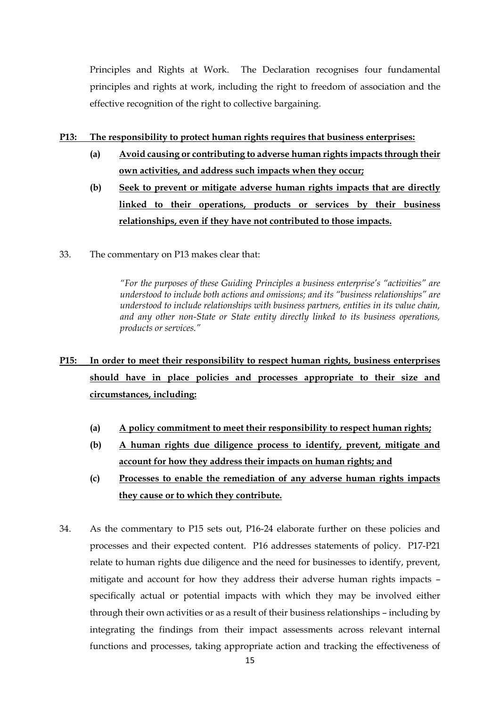Principles and Rights at Work. The Declaration recognises four fundamental principles and rights at work, including the right to freedom of association and the effective recognition of the right to collective bargaining.

### **P13: The responsibility to protect human rights requires that business enterprises:**

- **(a) Avoid causing or contributing to adverse human rights impacts through their own activities, and address such impacts when they occur;**
- **(b) Seek to prevent or mitigate adverse human rights impacts that are directly linked to their operations, products or services by their business relationships, even if they have not contributed to those impacts.**
- 33. The commentary on P13 makes clear that:

*"For the purposes of these Guiding Principles a business enterprise's "activities" are understood to include both actions and omissions; and its "business relationships" are understood to include relationships with business partners, entities in its value chain, and any other non-State or State entity directly linked to its business operations, products or services."*

# **P15: In order to meet their responsibility to respect human rights, business enterprises should have in place policies and processes appropriate to their size and circumstances, including:**

- **(a) A policy commitment to meet their responsibility to respect human rights;**
- **(b) A human rights due diligence process to identify, prevent, mitigate and account for how they address their impacts on human rights; and**
- **(c) Processes to enable the remediation of any adverse human rights impacts they cause or to which they contribute.**
- 34. As the commentary to P15 sets out, P16-24 elaborate further on these policies and processes and their expected content. P16 addresses statements of policy. P17-P21 relate to human rights due diligence and the need for businesses to identify, prevent, mitigate and account for how they address their adverse human rights impacts – specifically actual or potential impacts with which they may be involved either through their own activities or as a result of their business relationships – including by integrating the findings from their impact assessments across relevant internal functions and processes, taking appropriate action and tracking the effectiveness of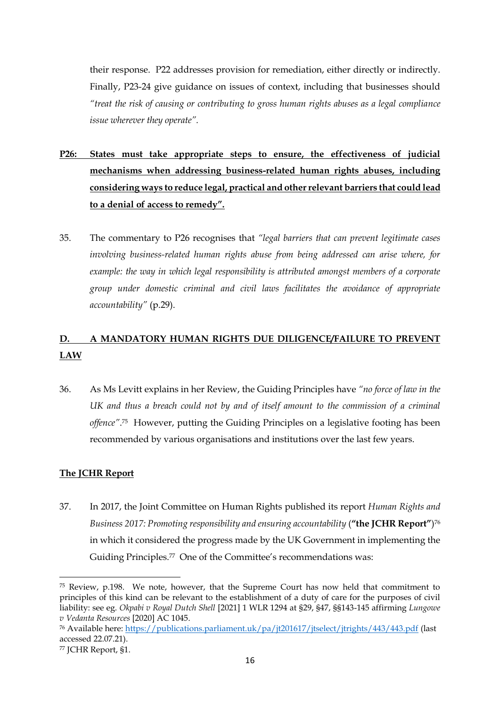their response. P22 addresses provision for remediation, either directly or indirectly. Finally, P23-24 give guidance on issues of context, including that businesses should *"treat the risk of causing or contributing to gross human rights abuses as a legal compliance issue wherever they operate".*

- **P26: States must take appropriate steps to ensure, the effectiveness of judicial mechanisms when addressing business-related human rights abuses, including considering ways to reduce legal, practical and other relevant barriers that could lead to a denial of access to remedy".**
- 35. The commentary to P26 recognises that *"legal barriers that can prevent legitimate cases involving business-related human rights abuse from being addressed can arise where, for example: the way in which legal responsibility is attributed amongst members of a corporate group under domestic criminal and civil laws facilitates the avoidance of appropriate accountability"* (p.29).

# **D. A MANDATORY HUMAN RIGHTS DUE DILIGENCE/FAILURE TO PREVENT LAW**

36. As Ms Levitt explains in her Review, the Guiding Principles have *"no force of law in the UK and thus a breach could not by and of itself amount to the commission of a criminal offence"*. <sup>75</sup> However, putting the Guiding Principles on a legislative footing has been recommended by various organisations and institutions over the last few years.

### **The JCHR Report**

37. In 2017, the Joint Committee on Human Rights published its report *Human Rights and*  Business 2017: Promoting responsibility and ensuring accountability ("**the JCHR Report"**)<sup>76</sup> in which it considered the progress made by the UK Government in implementing the Guiding Principles.77 One of the Committee's recommendations was:

<sup>75</sup> Review, p.198. We note, however, that the Supreme Court has now held that commitment to principles of this kind can be relevant to the establishment of a duty of care for the purposes of civil liability: see eg. *Okpabi v Royal Dutch Shell* [2021] 1 WLR 1294 at §29, §47, §§143-145 affirming *Lungowe v Vedanta Resources* [2020] AC 1045.

<sup>76</sup> Available here: https://publications.parliament.uk/pa/jt201617/jtselect/jtrights/443/443.pdf (last accessed 22.07.21).

<sup>77</sup> JCHR Report, §1.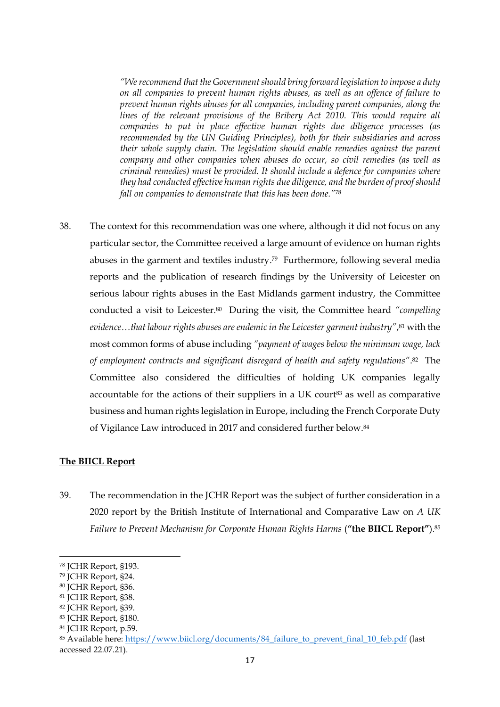*"We recommend that the Government should bring forward legislation to impose a duty on all companies to prevent human rights abuses, as well as an offence of failure to prevent human rights abuses for all companies, including parent companies, along the lines of the relevant provisions of the Bribery Act 2010. This would require all companies to put in place effective human rights due diligence processes (as recommended by the UN Guiding Principles), both for their subsidiaries and across their whole supply chain. The legislation should enable remedies against the parent company and other companies when abuses do occur, so civil remedies (as well as criminal remedies) must be provided. It should include a defence for companies where they had conducted effective human rights due diligence, and the burden of proof should fall on companies to demonstrate that this has been done."*<sup>78</sup>

38. The context for this recommendation was one where, although it did not focus on any particular sector, the Committee received a large amount of evidence on human rights abuses in the garment and textiles industry. <sup>79</sup> Furthermore, following several media reports and the publication of research findings by the University of Leicester on serious labour rights abuses in the East Midlands garment industry, the Committee conducted a visit to Leicester.80 During the visit, the Committee heard *"compelling evidence…that labour rights abuses are endemic in the Leicester garment industry"*, <sup>81</sup> with the most common forms of abuse including *"payment of wages below the minimum wage, lack of employment contracts and significant disregard of health and safety regulations"*. <sup>82</sup> The Committee also considered the difficulties of holding UK companies legally accountable for the actions of their suppliers in a UK court<sup>83</sup> as well as comparative business and human rights legislation in Europe, including the French Corporate Duty of Vigilance Law introduced in 2017 and considered further below.<sup>84</sup>

### **The BIICL Report**

39. The recommendation in the JCHR Report was the subject of further consideration in a 2020 report by the British Institute of International and Comparative Law on *A UK Failure to Prevent Mechanism for Corporate Human Rights Harms* (**"the BIICL Report"**).<sup>85</sup>

<sup>78</sup> JCHR Report, §193.

<sup>79</sup> JCHR Report, §24.

<sup>80</sup> JCHR Report, §36.

<sup>81</sup> JCHR Report, §38.

<sup>82</sup> JCHR Report, §39.

<sup>83</sup> JCHR Report, §180.

<sup>84</sup> JCHR Report, p.59.

<sup>85</sup> Available here: https://www.biicl.org/documents/84\_failure\_to\_prevent\_final\_10\_feb.pdf (last accessed 22.07.21).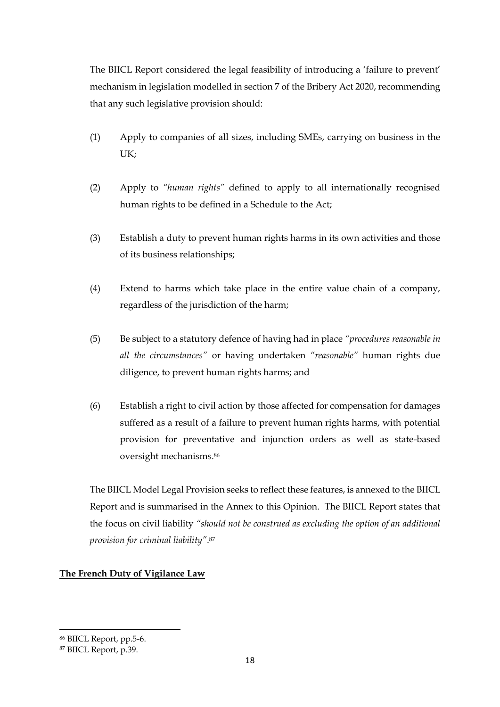The BIICL Report considered the legal feasibility of introducing a 'failure to prevent' mechanism in legislation modelled in section 7 of the Bribery Act 2020, recommending that any such legislative provision should:

- (1) Apply to companies of all sizes, including SMEs, carrying on business in the UK;
- (2) Apply to *"human rights"* defined to apply to all internationally recognised human rights to be defined in a Schedule to the Act;
- (3) Establish a duty to prevent human rights harms in its own activities and those of its business relationships;
- (4) Extend to harms which take place in the entire value chain of a company, regardless of the jurisdiction of the harm;
- (5) Be subject to a statutory defence of having had in place *"procedures reasonable in all the circumstances"* or having undertaken *"reasonable"* human rights due diligence, to prevent human rights harms; and
- (6) Establish a right to civil action by those affected for compensation for damages suffered as a result of a failure to prevent human rights harms, with potential provision for preventative and injunction orders as well as state-based oversight mechanisms.<sup>86</sup>

The BIICL Model Legal Provision seeks to reflect these features, is annexed to the BIICL Report and is summarised in the Annex to this Opinion. The BIICL Report states that the focus on civil liability *"should not be construed as excluding the option of an additional provision for criminal liability"*. 87

## **The French Duty of Vigilance Law**

<sup>86</sup> BIICL Report, pp.5-6.

<sup>87</sup> BIICL Report, p.39.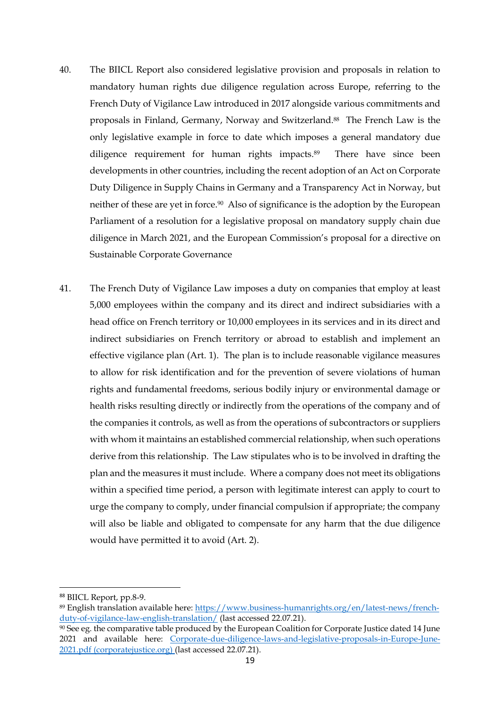- 40. The BIICL Report also considered legislative provision and proposals in relation to mandatory human rights due diligence regulation across Europe, referring to the French Duty of Vigilance Law introduced in 2017 alongside various commitments and proposals in Finland, Germany, Norway and Switzerland.88 The French Law is the only legislative example in force to date which imposes a general mandatory due diligence requirement for human rights impacts.<sup>89</sup> There have since been developments in other countries, including the recent adoption of an Act on Corporate Duty Diligence in Supply Chains in Germany and a Transparency Act in Norway, but neither of these are yet in force.<sup>90</sup> Also of significance is the adoption by the European Parliament of a resolution for a legislative proposal on mandatory supply chain due diligence in March 2021, and the European Commission's proposal for a directive on Sustainable Corporate Governance
- 41. The French Duty of Vigilance Law imposes a duty on companies that employ at least 5,000 employees within the company and its direct and indirect subsidiaries with a head office on French territory or 10,000 employees in its services and in its direct and indirect subsidiaries on French territory or abroad to establish and implement an effective vigilance plan (Art. 1). The plan is to include reasonable vigilance measures to allow for risk identification and for the prevention of severe violations of human rights and fundamental freedoms, serious bodily injury or environmental damage or health risks resulting directly or indirectly from the operations of the company and of the companies it controls, as well as from the operations of subcontractors or suppliers with whom it maintains an established commercial relationship, when such operations derive from this relationship. The Law stipulates who is to be involved in drafting the plan and the measures it must include. Where a company does not meet its obligations within a specified time period, a person with legitimate interest can apply to court to urge the company to comply, under financial compulsion if appropriate; the company will also be liable and obligated to compensate for any harm that the due diligence would have permitted it to avoid (Art. 2).

<sup>88</sup> BIICL Report, pp.8-9.

<sup>89</sup> English translation available here: https://www.business-humanrights.org/en/latest-news/frenchduty-of-vigilance-law-english-translation/ (last accessed 22.07.21).

<sup>90</sup> See eg. the comparative table produced by the European Coalition for Corporate Justice dated 14 June 2021 and available here: [Corporate-due-diligence-laws-and-legislative-proposals-in-Europe-June-](https://corporatejustice.org/wp-content/uploads/2021/07/Corporate-due-diligence-laws-and-legislative-proposals-in-Europe-June-2021.pdf)[2021.pdf \(corporatejustice.org\)](https://corporatejustice.org/wp-content/uploads/2021/07/Corporate-due-diligence-laws-and-legislative-proposals-in-Europe-June-2021.pdf) (last accessed 22.07.21).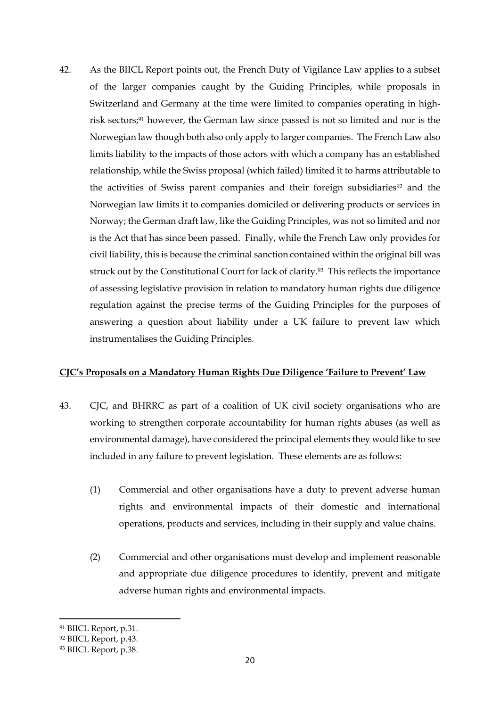42. As the BIICL Report points out, the French Duty of Vigilance Law applies to a subset of the larger companies caught by the Guiding Principles, while proposals in Switzerland and Germany at the time were limited to companies operating in highrisk sectors; <sup>91</sup> however, the German law since passed is not so limited and nor is the Norwegian law though both also only apply to larger companies. The French Law also limits liability to the impacts of those actors with which a company has an established relationship, while the Swiss proposal (which failed) limited it to harms attributable to the activities of Swiss parent companies and their foreign subsidiaries<sup>92</sup> and the Norwegian law limits it to companies domiciled or delivering products or services in Norway; the German draft law, like the Guiding Principles, was not so limited and nor is the Act that has since been passed. Finally, while the French Law only provides for civil liability, this is because the criminal sanction contained within the original bill was struck out by the Constitutional Court for lack of clarity.93 This reflects the importance of assessing legislative provision in relation to mandatory human rights due diligence regulation against the precise terms of the Guiding Principles for the purposes of answering a question about liability under a UK failure to prevent law which instrumentalises the Guiding Principles.

### **CJC's Proposals on a Mandatory Human Rights Due Diligence 'Failure to Prevent' Law**

- <span id="page-19-0"></span>43. CJC, and BHRRC as part of a coalition of UK civil society organisations who are working to strengthen corporate accountability for human rights abuses (as well as environmental damage), have considered the principal elements they would like to see included in any failure to prevent legislation. These elements are as follows:
	- (1) Commercial and other organisations have a duty to prevent adverse human rights and environmental impacts of their domestic and international operations, products and services, including in their supply and value chains.
	- (2) Commercial and other organisations must develop and implement reasonable and appropriate due diligence procedures to identify, prevent and mitigate adverse human rights and environmental impacts.

<sup>91</sup> BIICL Report, p.31.

<sup>92</sup> BIICL Report, p.43.

<sup>93</sup> BIICL Report, p.38.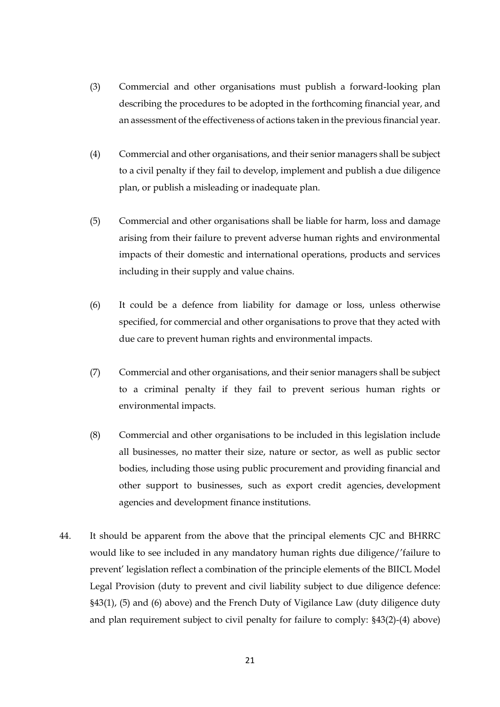- (3) Commercial and other organisations must publish a forward-looking plan describing the procedures to be adopted in the forthcoming financial year, and an assessment of the effectiveness of actions taken in the previous financial year.
- (4) Commercial and other organisations, and their senior managers shall be subject to a civil penalty if they fail to develop, implement and publish a due diligence plan, or publish a misleading or inadequate plan.
- (5) Commercial and other organisations shall be liable for harm, loss and damage arising from their failure to prevent adverse human rights and environmental impacts of their domestic and international operations, products and services including in their supply and value chains.
- (6) It could be a defence from liability for damage or loss, unless otherwise specified, for commercial and other organisations to prove that they acted with due care to prevent human rights and environmental impacts.
- (7) Commercial and other organisations, and their senior managers shall be subject to a criminal penalty if they fail to prevent serious human rights or environmental impacts.
- (8) Commercial and other organisations to be included in this legislation include all businesses, no matter their size, nature or sector, as well as public sector bodies, including those using public procurement and providing financial and other support to businesses, such as export credit agencies, development agencies and development finance institutions.
- <span id="page-20-0"></span>44. It should be apparent from the above that the principal elements CJC and BHRRC would like to see included in any mandatory human rights due diligence/'failure to prevent' legislation reflect a combination of the principle elements of the BIICL Model Legal Provision (duty to prevent and civil liability subject to due diligence defence: §43(1), (5) and (6) above) and the French Duty of Vigilance Law (duty diligence duty and plan requirement subject to civil penalty for failure to comply: §43(2)-(4) above)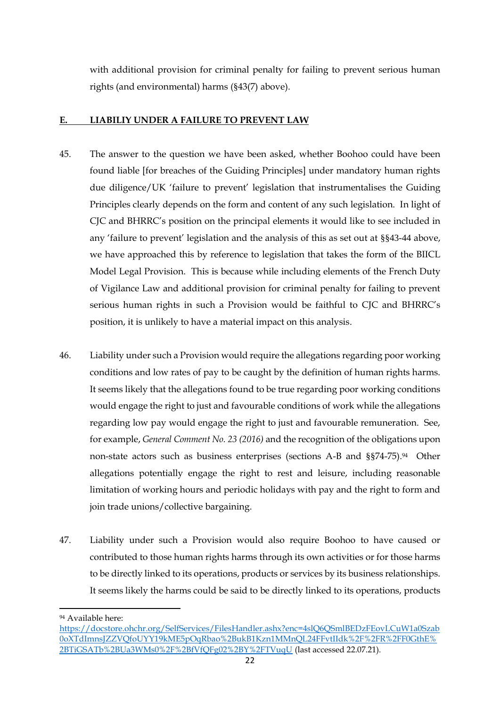with additional provision for criminal penalty for failing to prevent serious human rights (and environmental) harms (§43(7) above).

### **E. LIABILIY UNDER A FAILURE TO PREVENT LAW**

- 45. The answer to the question we have been asked, whether Boohoo could have been found liable [for breaches of the Guiding Principles] under mandatory human rights due diligence/UK 'failure to prevent' legislation that instrumentalises the Guiding Principles clearly depends on the form and content of any such legislation. In light of CJC and BHRRC's position on the principal elements it would like to see included in any 'failure to prevent' legislation and the analysis of this as set out at §[§43](#page-19-0)[-44](#page-20-0) above, we have approached this by reference to legislation that takes the form of the BIICL Model Legal Provision. This is because while including elements of the French Duty of Vigilance Law and additional provision for criminal penalty for failing to prevent serious human rights in such a Provision would be faithful to CJC and BHRRC's position, it is unlikely to have a material impact on this analysis.
- 46. Liability under such a Provision would require the allegations regarding poor working conditions and low rates of pay to be caught by the definition of human rights harms. It seems likely that the allegations found to be true regarding poor working conditions would engage the right to just and favourable conditions of work while the allegations regarding low pay would engage the right to just and favourable remuneration. See, for example, *General Comment No. 23 (2016)* and the recognition of the obligations upon non-state actors such as business enterprises (sections A-B and §§74-75). <sup>94</sup> Other allegations potentially engage the right to rest and leisure, including reasonable limitation of working hours and periodic holidays with pay and the right to form and join trade unions/collective bargaining.
- 47. Liability under such a Provision would also require Boohoo to have caused or contributed to those human rights harms through its own activities or for those harms to be directly linked to its operations, products or services by its business relationships. It seems likely the harms could be said to be directly linked to its operations, products

<sup>94</sup> Available here:

https://docstore.ohchr.org/SelfServices/FilesHandler.ashx?enc=4slQ6QSmlBEDzFEovLCuW1a0Szab 0oXTdImnsJZZVQfoUYY19kME5pOqRbao%2BukB1Kzn1MMnQL24FFvtIIdk%2F%2FR%2FF0GthE% 2BTiGSATb%2BUa3WMs0%2F%2BfVfQFg02%2BY%2FTVuqU (last accessed 22.07.21).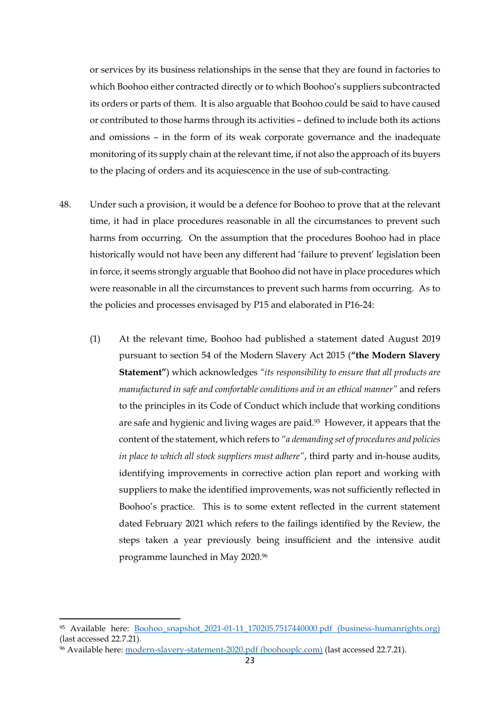or services by its business relationships in the sense that they are found in factories to which Boohoo either contracted directly or to which Boohoo's suppliers subcontracted its orders or parts of them. It is also arguable that Boohoo could be said to have caused or contributed to those harms through its activities – defined to include both its actions and omissions – in the form of its weak corporate governance and the inadequate monitoring of its supply chain at the relevant time, if not also the approach of its buyers to the placing of orders and its acquiescence in the use of sub-contracting.

- 48. Under such a provision, it would be a defence for Boohoo to prove that at the relevant time, it had in place procedures reasonable in all the circumstances to prevent such harms from occurring. On the assumption that the procedures Boohoo had in place historically would not have been any different had 'failure to prevent' legislation been in force, it seems strongly arguable that Boohoo did not have in place procedures which were reasonable in all the circumstances to prevent such harms from occurring. As to the policies and processes envisaged by P15 and elaborated in P16-24:
	- (1) At the relevant time, Boohoo had published a statement dated August 2019 pursuant to section 54 of the Modern Slavery Act 2015 (**"the Modern Slavery Statement"**) which acknowledges *"its responsibility to ensure that all products are manufactured in safe and comfortable conditions and in an ethical manner"* and refers to the principles in its Code of Conduct which include that working conditions are safe and hygienic and living wages are paid.95 However, it appears that the content of the statement, which refers to *"a demanding set of procedures and policies in place to which all stock suppliers must adhere"*, third party and in-house audits, identifying improvements in corrective action plan report and working with suppliers to make the identified improvements, was not sufficiently reflected in Boohoo's practice. This is to some extent reflected in the current statement dated February 2021 which refers to the failings identified by the Review, the steps taken a year previously being insufficient and the intensive audit programme launched in May 2020.<sup>96</sup>

<sup>95</sup> Available here: [Boohoo\\_snapshot\\_2021-01-11\\_170205.7517440000.pdf \(business-humanrights.org\)](https://media.business-humanrights.org/media/documents/Boohoo_snapshot_2021-01-11_170205.7517440000.pdf) (last accessed 22.7.21).

<sup>96</sup> Available here: [modern-slavery-statement-2020.pdf \(boohooplc.com\)](https://www.boohooplc.com/sites/boohoo-corp/files/all-documents/modern-slavery-statement-2020.pdf) (last accessed 22.7.21).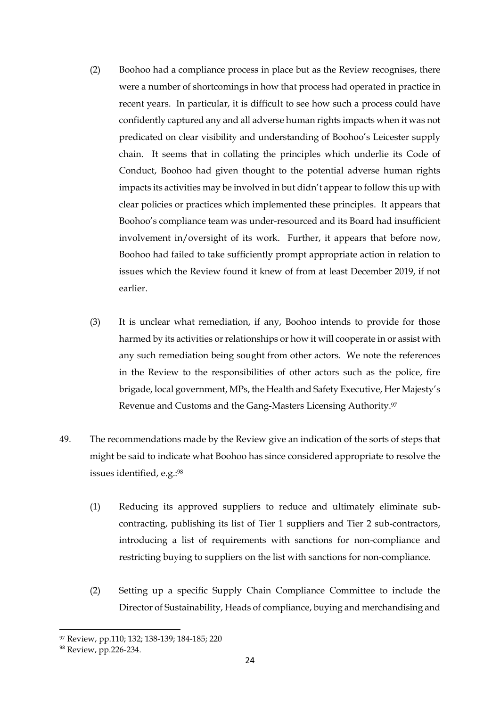- (2) Boohoo had a compliance process in place but as the Review recognises, there were a number of shortcomings in how that process had operated in practice in recent years. In particular, it is difficult to see how such a process could have confidently captured any and all adverse human rights impacts when it was not predicated on clear visibility and understanding of Boohoo's Leicester supply chain. It seems that in collating the principles which underlie its Code of Conduct, Boohoo had given thought to the potential adverse human rights impacts its activities may be involved in but didn't appear to follow this up with clear policies or practices which implemented these principles. It appears that Boohoo's compliance team was under-resourced and its Board had insufficient involvement in/oversight of its work. Further, it appears that before now, Boohoo had failed to take sufficiently prompt appropriate action in relation to issues which the Review found it knew of from at least December 2019, if not earlier.
- (3) It is unclear what remediation, if any, Boohoo intends to provide for those harmed by its activities or relationships or how it will cooperate in or assist with any such remediation being sought from other actors. We note the references in the Review to the responsibilities of other actors such as the police, fire brigade, local government, MPs, the Health and Safety Executive, Her Majesty's Revenue and Customs and the Gang-Masters Licensing Authority.<sup>97</sup>
- 49. The recommendations made by the Review give an indication of the sorts of steps that might be said to indicate what Boohoo has since considered appropriate to resolve the issues identified, e.g.: 98
	- (1) Reducing its approved suppliers to reduce and ultimately eliminate subcontracting, publishing its list of Tier 1 suppliers and Tier 2 sub-contractors, introducing a list of requirements with sanctions for non-compliance and restricting buying to suppliers on the list with sanctions for non-compliance.
	- (2) Setting up a specific Supply Chain Compliance Committee to include the Director of Sustainability, Heads of compliance, buying and merchandising and

<sup>97</sup> Review, pp.110; 132; 138-139; 184-185; 220

<sup>&</sup>lt;sup>98</sup> Review, pp.226-234.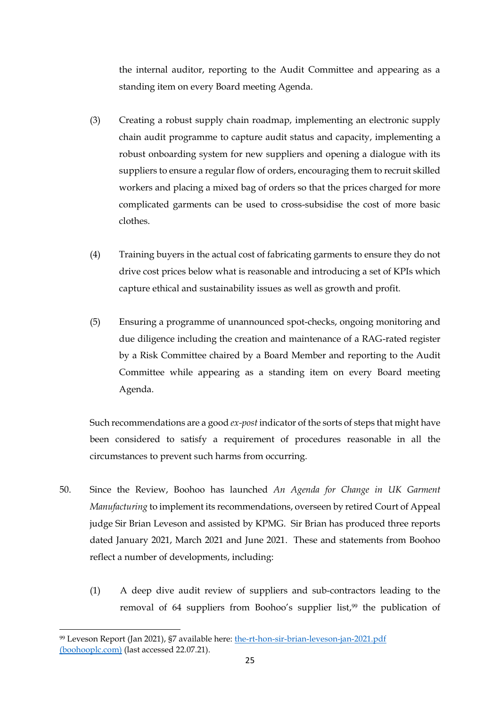the internal auditor, reporting to the Audit Committee and appearing as a standing item on every Board meeting Agenda.

- (3) Creating a robust supply chain roadmap, implementing an electronic supply chain audit programme to capture audit status and capacity, implementing a robust onboarding system for new suppliers and opening a dialogue with its suppliers to ensure a regular flow of orders, encouraging them to recruit skilled workers and placing a mixed bag of orders so that the prices charged for more complicated garments can be used to cross-subsidise the cost of more basic clothes.
- (4) Training buyers in the actual cost of fabricating garments to ensure they do not drive cost prices below what is reasonable and introducing a set of KPIs which capture ethical and sustainability issues as well as growth and profit.
- (5) Ensuring a programme of unannounced spot-checks, ongoing monitoring and due diligence including the creation and maintenance of a RAG-rated register by a Risk Committee chaired by a Board Member and reporting to the Audit Committee while appearing as a standing item on every Board meeting Agenda.

Such recommendations are a good *ex-post* indicator of the sorts of steps that might have been considered to satisfy a requirement of procedures reasonable in all the circumstances to prevent such harms from occurring.

- 50. Since the Review, Boohoo has launched *An Agenda for Change in UK Garment Manufacturing* to implement its recommendations, overseen by retired Court of Appeal judge Sir Brian Leveson and assisted by KPMG. Sir Brian has produced three reports dated January 2021, March 2021 and June 2021. These and statements from Boohoo reflect a number of developments, including:
	- (1) A deep dive audit review of suppliers and sub-contractors leading to the removal of 64 suppliers from Boohoo's supplier list, <sup>99</sup> the publication of

<sup>99</sup> Leveson Report (Jan 2021), §7 available here: the-rt-hon-sir-brian-leveson-jan-2021.pdf (boohooplc.com) (last accessed 22.07.21).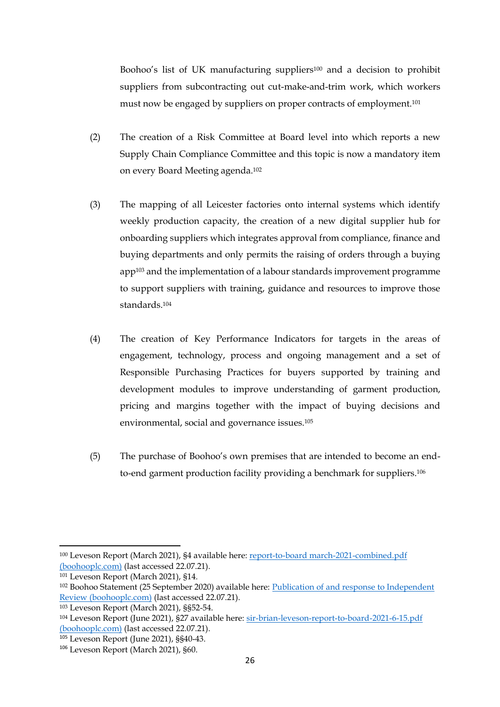Boohoo's list of UK manufacturing suppliers<sup>100</sup> and a decision to prohibit suppliers from subcontracting out cut-make-and-trim work, which workers must now be engaged by suppliers on proper contracts of employment.<sup>101</sup>

- (2) The creation of a Risk Committee at Board level into which reports a new Supply Chain Compliance Committee and this topic is now a mandatory item on every Board Meeting agenda.<sup>102</sup>
- (3) The mapping of all Leicester factories onto internal systems which identify weekly production capacity, the creation of a new digital supplier hub for onboarding suppliers which integrates approval from compliance, finance and buying departments and only permits the raising of orders through a buying app<sup>103</sup> and the implementation of a labour standards improvement programme to support suppliers with training, guidance and resources to improve those standards.<sup>104</sup>
- (4) The creation of Key Performance Indicators for targets in the areas of engagement, technology, process and ongoing management and a set of Responsible Purchasing Practices for buyers supported by training and development modules to improve understanding of garment production, pricing and margins together with the impact of buying decisions and environmental, social and governance issues.<sup>105</sup>
- (5) The purchase of Boohoo's own premises that are intended to become an endto-end garment production facility providing a benchmark for suppliers.<sup>106</sup>

<sup>100</sup> Leveson Report (March 2021), §4 available here: report-to-board march-2021-combined.pdf (boohooplc.com) (last accessed 22.07.21).

<sup>101</sup> Leveson Report (March 2021), §14.

<sup>102</sup> Boohoo Statement (25 September 2020) available here: Publication of and response to Independent Review (boohooplc.com) (last accessed 22.07.21).

<sup>103</sup> Leveson Report (March 2021), §§52-54.

<sup>104</sup> Leveson Report (June 2021), §27 available here: sir-brian-leveson-report-to-board-2021-6-15.pdf (boohooplc.com) (last accessed 22.07.21).

<sup>105</sup> Leveson Report (June 2021), §§40-43.

<sup>106</sup> Leveson Report (March 2021), §60.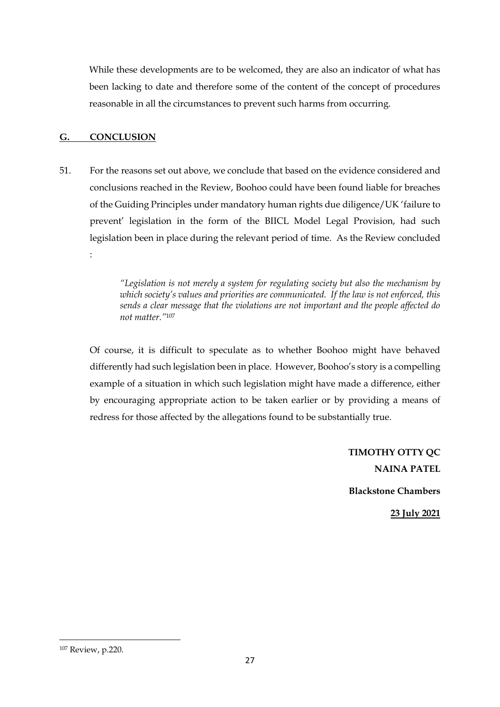While these developments are to be welcomed, they are also an indicator of what has been lacking to date and therefore some of the content of the concept of procedures reasonable in all the circumstances to prevent such harms from occurring.

### **G. CONCLUSION**

:

51. For the reasons set out above, we conclude that based on the evidence considered and conclusions reached in the Review, Boohoo could have been found liable for breaches of the Guiding Principles under mandatory human rights due diligence/UK 'failure to prevent' legislation in the form of the BIICL Model Legal Provision, had such legislation been in place during the relevant period of time. As the Review concluded

> *"Legislation is not merely a system for regulating society but also the mechanism by which society's values and priorities are communicated. If the law is not enforced, this sends a clear message that the violations are not important and the people affected do not matter."*<sup>107</sup>

Of course, it is difficult to speculate as to whether Boohoo might have behaved differently had such legislation been in place. However, Boohoo's story is a compelling example of a situation in which such legislation might have made a difference, either by encouraging appropriate action to be taken earlier or by providing a means of redress for those affected by the allegations found to be substantially true.

> **TIMOTHY OTTY QC NAINA PATEL Blackstone Chambers 23 July 2021**

<sup>107</sup> Review, p.220.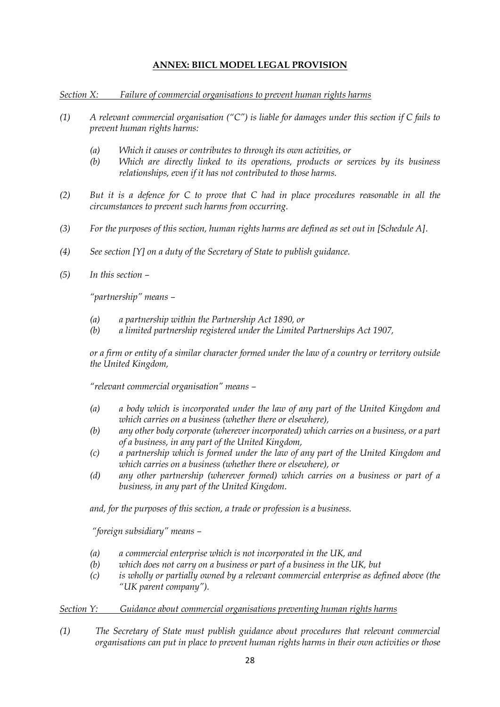### **ANNEX: BIICL MODEL LEGAL PROVISION**

*Section X: Failure of commercial organisations to prevent human rights harms*

- *(1) A relevant commercial organisation ("C") is liable for damages under this section if C fails to prevent human rights harms:*
	- *(a) Which it causes or contributes to through its own activities, or*
	- *(b) Which are directly linked to its operations, products or services by its business relationships, even if it has not contributed to those harms.*
- *(2) But it is a defence for C to prove that C had in place procedures reasonable in all the circumstances to prevent such harms from occurring.*
- *(3) For the purposes of this section, human rights harms are defined as set out in [Schedule A].*
- *(4) See section [Y] on a duty of the Secretary of State to publish guidance.*
- *(5) In this section –*

*"partnership" means –*

- *(a) a partnership within the Partnership Act 1890, or*
- *(b) a limited partnership registered under the Limited Partnerships Act 1907,*

*or a firm or entity of a similar character formed under the law of a country or territory outside the United Kingdom,* 

*"relevant commercial organisation" means –*

- *(a) a body which is incorporated under the law of any part of the United Kingdom and which carries on a business (whether there or elsewhere),*
- *(b) any other body corporate (wherever incorporated) which carries on a business, or a part of a business, in any part of the United Kingdom,*
- *(c) a partnership which is formed under the law of any part of the United Kingdom and which carries on a business (whether there or elsewhere), or*
- *(d) any other partnership (wherever formed) which carries on a business or part of a business, in any part of the United Kingdom.*

*and, for the purposes of this section, a trade or profession is a business.*

*"foreign subsidiary" means –*

- *(a) a commercial enterprise which is not incorporated in the UK, and*
- *(b) which does not carry on a business or part of a business in the UK, but*
- *(c) is wholly or partially owned by a relevant commercial enterprise as defined above (the "UK parent company").*

#### *Section Y: Guidance about commercial organisations preventing human rights harms*

*(1) The Secretary of State must publish guidance about procedures that relevant commercial organisations can put in place to prevent human rights harms in their own activities or those*